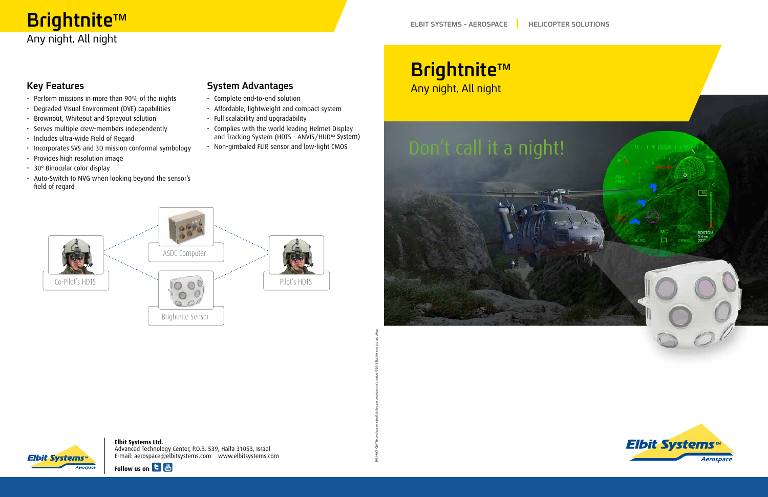# Brightnite™ Any night, All night

### **Key Features**

- Perform missions in more than 90% of the nights
- Degraded Visual Environment (DVE) capabilities
- Brownout, Whiteout and Sprayout solution
- Serves multiple crew-members independently
- Includes ultra-wide Field of Regard
- Incorporates SVS and 3D mission conformal symbology
- Provides high resolution image
- 30° Binocular color display
- Auto-Switch to NVG when looking beyond the sensor's field of regard

#### **System Advantages**

- Complete end-to-end solution
- Affordable, lightweight and compact system
- Full scalability and upgradability
- Complies with the world leading Helmet Display and Tracking System (HDTS - ANVIS/HUD™ System)

This brochure contains Elbit Systems proprietary information © 2016 Elbit Systems Ltd. and others

EP13-MKT-039

• Non-gimbaled FLIR sensor and low-light CMOS

**Elbit Systems Ltd.** Advanced Technology Center, P.O.B. 539, Haifa 31053, Israel com.elbitsystems.www com.elbitsystems@aerospace :mail-E









# **Elbit Systems**